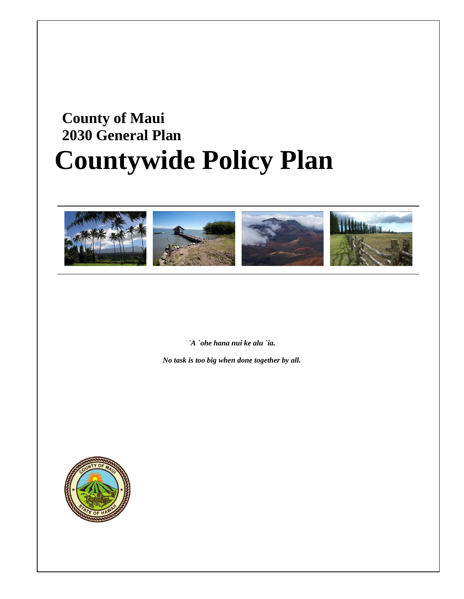# **County of Maui 2030 General Plan Countywide Policy Plan**



*`A `ohe hana nui ke alu `ia.* 

*No task is too big when done together by all.* 

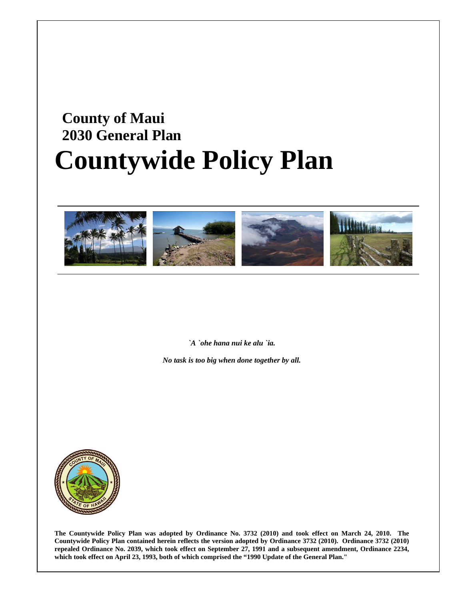# **County of Maui 2030 General Plan Countywide Policy Plan**



*`A `ohe hana nui ke alu `ia.* 

*No task is too big when done together by all.* 



**The Countywide Policy Plan was adopted by Ordinance No. 3732 (2010) and took effect on March 24, 2010. The Countywide Policy Plan contained herein reflects the version adopted by Ordinance 3732 (2010). Ordinance 3732 (2010) repealed Ordinance No. 2039, which took effect on September 27, 1991 and a subsequent amendment, Ordinance 2234, which took effect on April 23, 1993, both of which comprised the "1990 Update of the General Plan."**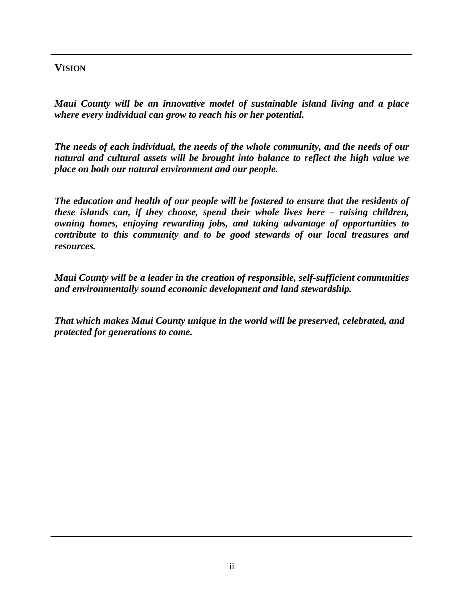### **VISION**

*Maui County will be an innovative model of sustainable island living and a place where every individual can grow to reach his or her potential.* 

*The needs of each individual, the needs of the whole community, and the needs of our natural and cultural assets will be brought into balance to reflect the high value we place on both our natural environment and our people.* 

*The education and health of our people will be fostered to ensure that the residents of these islands can, if they choose, spend their whole lives here – raising children, owning homes, enjoying rewarding jobs, and taking advantage of opportunities to contribute to this community and to be good stewards of our local treasures and resources.* 

*Maui County will be a leader in the creation of responsible, self-sufficient communities and environmentally sound economic development and land stewardship.* 

*That which makes Maui County unique in the world will be preserved, celebrated, and protected for generations to come.*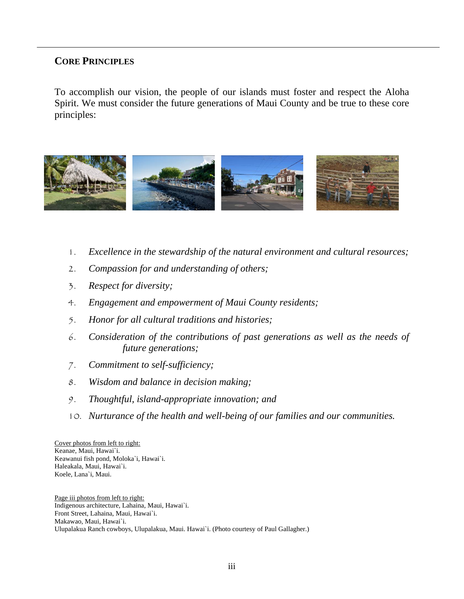#### **CORE PRINCIPLES**

To accomplish our vision, the people of our islands must foster and respect the Aloha Spirit. We must consider the future generations of Maui County and be true to these core principles:



- 1. *Excellence in the stewardship of the natural environment and cultural resources;*
- 2. *Compassion for and understanding of others;*
- 3. *Respect for diversity;*
- 4. *Engagement and empowerment of Maui County residents;*
- 5. *Honor for all cultural traditions and histories;*
- 6. *Consideration of the contributions of past generations as well as the needs of future generations;*
- 7. *Commitment to self-sufficiency;*
- 8. *Wisdom and balance in decision making;*
- 9. *Thoughtful, island-appropriate innovation; and*
- 10. *Nurturance of the health and well-being of our families and our communities.*

Cover photos from left to right: Keanae, Maui, Hawai`i. Keawanui fish pond, Moloka`i, Hawai`i. Haleakala, Maui, Hawai`i. Koele, Lana`i, Maui.

Page iii photos from left to right: Indigenous architecture, Lahaina, Maui, Hawai`i. Front Street, Lahaina, Maui, Hawai`i. Makawao, Maui, Hawai`i. Ulupalakua Ranch cowboys, Ulupalakua, Maui. Hawai`i. (Photo courtesy of Paul Gallagher.)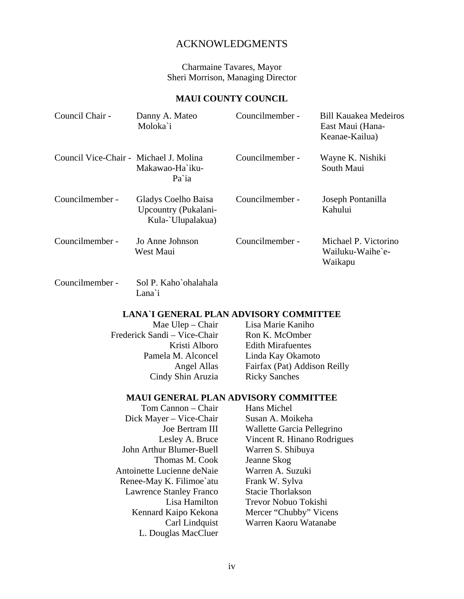#### ACKNOWLEDGMENTS

Charmaine Tavares, Mayor Sheri Morrison, Managing Director

#### **MAUI COUNTY COUNCIL**

| Council Chair -                        | Danny A. Mateo<br>Moloka`i                                       | Councilmember - | <b>Bill Kauakea Medeiros</b><br>East Maui (Hana-<br>Keanae-Kailua) |
|----------------------------------------|------------------------------------------------------------------|-----------------|--------------------------------------------------------------------|
| Council Vice-Chair - Michael J. Molina | Makawao-Ha`iku-<br>Pa ia                                         | Councilmember - | Wayne K. Nishiki<br>South Maui                                     |
| Councilmember -                        | Gladys Coelho Baisa<br>Upcountry (Pukalani-<br>Kula-`Ulupalakua) | Councilmember - | Joseph Pontanilla<br>Kahului                                       |
| Councilmember -                        | Jo Anne Johnson<br>West Maui                                     | Councilmember - | Michael P. Victorino<br>Wailuku-Waihe`e-<br>Waikapu                |
| Councilmember -                        | Sol P. Kaho`ohalahala                                            |                 |                                                                    |

#### **LANA`I GENERAL PLAN ADVISORY COMMITTEE**

Mae Ulep – Chair Frederick Sandi – Vice-Chair Kristi Alboro Pamela M. Alconcel Angel Allas Cindy Shin Aruzia

Lana`i

Lisa Marie Kaniho Ron K. McOmber Edith Mirafuentes Linda Kay Okamoto Fairfax (Pat) Addison Reilly Ricky Sanches

#### **MAUI GENERAL PLAN ADVISORY COMMITTEE**

Tom Cannon – Chair Dick Mayer – Vice-Chair Joe Bertram III Lesley A. Bruce John Arthur Blumer-Buell Thomas M. Cook Antoinette Lucienne deNaie Renee-May K. Filimoe`atu Lawrence Stanley Franco Lisa Hamilton Kennard Kaipo Kekona Carl Lindquist L. Douglas MacCluer

Hans Michel Susan A. Moikeha Wallette Garcia Pellegrino Vincent R. Hinano Rodrigues Warren S. Shibuya Jeanne Skog Warren A. Suzuki Frank W. Sylva Stacie Thorlakson Trevor Nobuo Tokishi Mercer "Chubby" Vicens Warren Kaoru Watanabe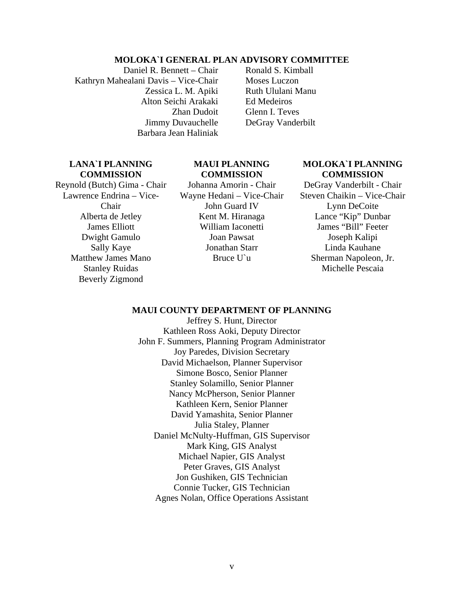#### **MOLOKA`I GENERAL PLAN ADVISORY COMMITTEE**

Daniel R. Bennett – Chair Kathryn Mahealani Davis – Vice-Chair Zessica L. M. Apiki Alton Seichi Arakaki Zhan Dudoit Jimmy Duvauchelle Barbara Jean Haliniak

Ronald S. Kimball Moses Luczon Ruth Ululani Manu Ed Medeiros Glenn I. Teves DeGray Vanderbilt

#### **LANA`I PLANNING COMMISSION**

Reynold (Butch) Gima - Chair Lawrence Endrina – Vice-Chair Alberta de Jetley James Elliott Dwight Gamulo Sally Kaye Matthew James Mano Stanley Ruidas Beverly Zigmond

#### **MAUI PLANNING COMMISSION**

Johanna Amorin - Chair Wayne Hedani – Vice-Chair John Guard IV Kent M. Hiranaga William Iaconetti Joan Pawsat Jonathan Starr Bruce U`u

#### **MOLOKA`I PLANNING COMMISSION**

DeGray Vanderbilt - Chair Steven Chaikin – Vice-Chair Lynn DeCoite Lance "Kip" Dunbar James "Bill" Feeter Joseph Kalipi Linda Kauhane Sherman Napoleon, Jr. Michelle Pescaia

#### **MAUI COUNTY DEPARTMENT OF PLANNING**

Jeffrey S. Hunt, Director Kathleen Ross Aoki, Deputy Director John F. Summers, Planning Program Administrator Joy Paredes, Division Secretary David Michaelson, Planner Supervisor Simone Bosco, Senior Planner Stanley Solamillo, Senior Planner Nancy McPherson, Senior Planner Kathleen Kern, Senior Planner David Yamashita, Senior Planner Julia Staley, Planner Daniel McNulty-Huffman, GIS Supervisor Mark King, GIS Analyst Michael Napier, GIS Analyst Peter Graves, GIS Analyst Jon Gushiken, GIS Technician Connie Tucker, GIS Technician Agnes Nolan, Office Operations Assistant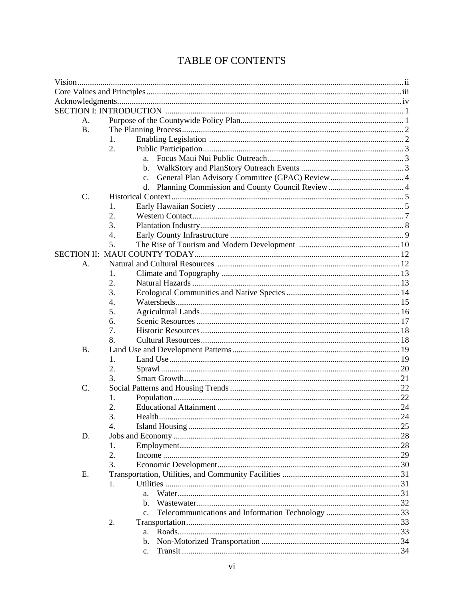| А.        |    |                |    |
|-----------|----|----------------|----|
| <b>B.</b> |    |                |    |
|           | 1. |                |    |
|           | 2. |                |    |
|           |    | a.             |    |
|           |    | b.             |    |
|           |    | $\mathbf{c}$ . |    |
|           |    |                |    |
| C.        |    |                |    |
|           | 1. |                |    |
|           | 2. |                |    |
|           | 3. |                |    |
|           | 4. |                |    |
|           | 5. |                |    |
|           |    |                |    |
| А.        |    |                |    |
|           | 1. |                |    |
|           | 2. |                |    |
|           | 3. |                |    |
|           | 4. |                |    |
|           | 5. |                |    |
|           | 6. |                |    |
|           | 7. |                |    |
|           | 8. |                |    |
| <b>B.</b> |    |                |    |
|           | 1. |                |    |
|           | 2. |                |    |
|           | 3. |                |    |
| C.        |    |                |    |
|           | 1. |                |    |
|           | 2. |                |    |
|           |    | Health         | 24 |
|           | 4. |                |    |
| D.        |    |                |    |
|           | 1. |                |    |
|           | 2. |                |    |
|           | 3. |                |    |
| Ε.        |    |                |    |
|           | 1. |                |    |
|           |    | a.             |    |
|           |    | b.             |    |
|           |    | C <sub>r</sub> |    |
|           | 2. |                |    |
|           |    | a.             |    |
|           |    | b.             |    |
|           |    | c.             |    |

### TABLE OF CONTENTS